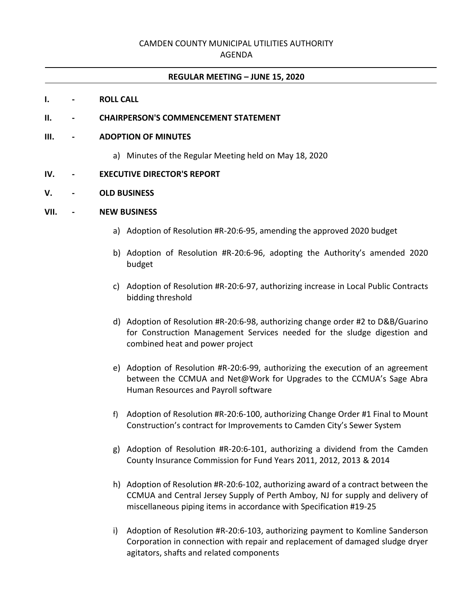## CAMDEN COUNTY MUNICIPAL UTILITIES AUTHORITY

#### AGENDA

#### **REGULAR MEETING – JUNE 15, 2020**

#### **I. - ROLL CALL**

#### **II. - CHAIRPERSON'S COMMENCEMENT STATEMENT**

#### **III. - ADOPTION OF MINUTES**

a) Minutes of the Regular Meeting held on May 18, 2020

#### **IV. - EXECUTIVE DIRECTOR'S REPORT**

#### **V. - OLD BUSINESS**

#### **VII. - NEW BUSINESS**

- a) Adoption of Resolution #R-20:6-95, amending the approved 2020 budget
- b) Adoption of Resolution #R-20:6-96, adopting the Authority's amended 2020 budget
- c) Adoption of Resolution #R-20:6-97, authorizing increase in Local Public Contracts bidding threshold
- d) Adoption of Resolution #R-20:6-98, authorizing change order #2 to D&B/Guarino for Construction Management Services needed for the sludge digestion and combined heat and power project
- e) Adoption of Resolution #R-20:6-99, authorizing the execution of an agreement between the CCMUA and Net@Work for Upgrades to the CCMUA's Sage Abra Human Resources and Payroll software
- f) Adoption of Resolution #R-20:6-100, authorizing Change Order #1 Final to Mount Construction's contract for Improvements to Camden City's Sewer System
- g) Adoption of Resolution #R-20:6-101, authorizing a dividend from the Camden County Insurance Commission for Fund Years 2011, 2012, 2013 & 2014
- h) Adoption of Resolution #R-20:6-102, authorizing award of a contract between the CCMUA and Central Jersey Supply of Perth Amboy, NJ for supply and delivery of miscellaneous piping items in accordance with Specification #19-25
- i) Adoption of Resolution #R-20:6-103, authorizing payment to Komline Sanderson Corporation in connection with repair and replacement of damaged sludge dryer agitators, shafts and related components